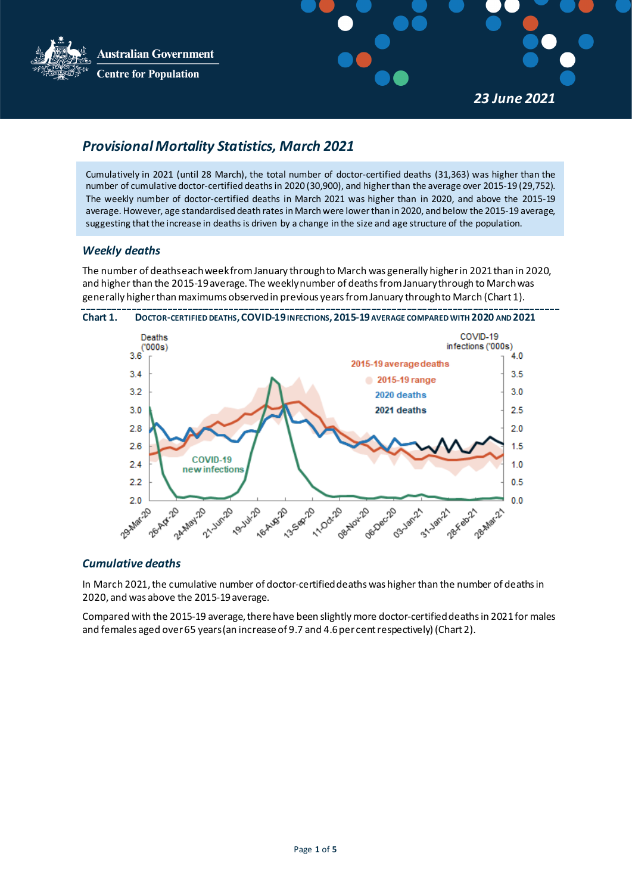**Australian Government Centre for Population** 



*23 June 2021*

# <span id="page-0-0"></span>*Provisional Mortality Statistics, March 2021*

Cumulatively in 2021 (until 28 March), the total number of doctor-certified deaths (31,363) was higher than the number of cumulative doctor-certified deathsin 2020 (30,900), and higherthan the average over 2015-19 (29,752). The weekly number of doctor-certified deaths in March 2021 was higher than in 2020, and above the 2015-19 average. However, age standardised death rates in March were lower than in 2020, and below the 2015-19 average, suggesting that the increase in deaths is driven by a change in the size and age structure of the population.

# *Weekly deaths*

The number of deathseach weekfrom January through to March was generally higherin 2021than in 2020, and higher than the 2015-19 average. The weekly number of deaths from January through to March was generally higher than maximums observed in previous years from January through to March (Chart 1).



### *Cumulative deaths*

In March 2021, the cumulative number of doctor-certified deaths was higher than the number of deaths in 2020, and was above the 2015-19 average.

Compared with the 2015-19 average, there have been slightly more doctor-certified deaths in 2021 for males and females aged over 65 years (an increase of 9.7 and 4.6 per cent respectively) (Chart 2).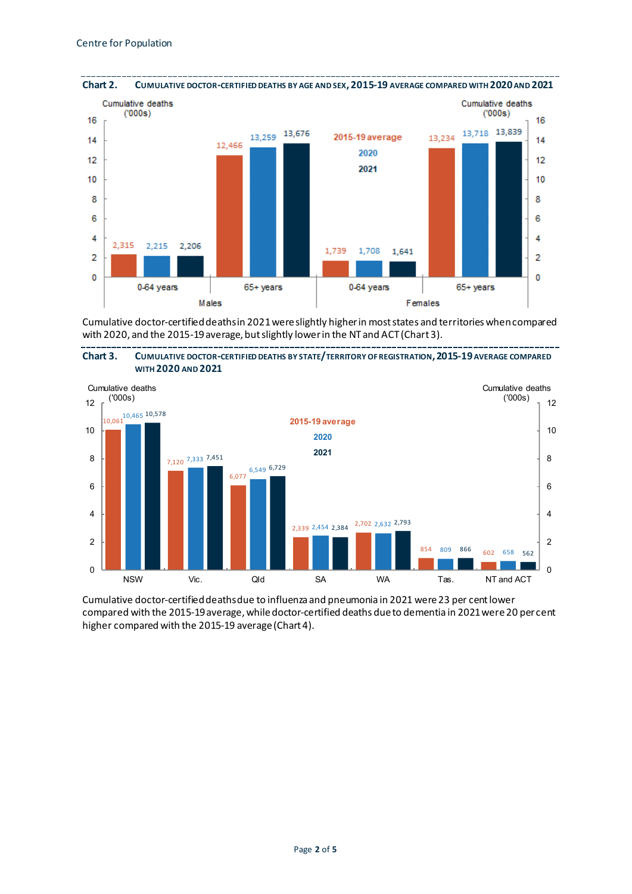

Cumulative doctor-certified deaths in 2021 were slightly higherin most states and territories when compared with 2020, and the 2015-19 average, but slightly lower in the NT and ACT (Chart 3).





Cumulative doctor-certified deaths due to influenza and pneumonia in 2021 were 23 per cent lower compared with the 2015-19 average, while doctor-certified deaths due to dementia in 2021 were 20 per cent higher compared with the 2015-19 average (Chart 4).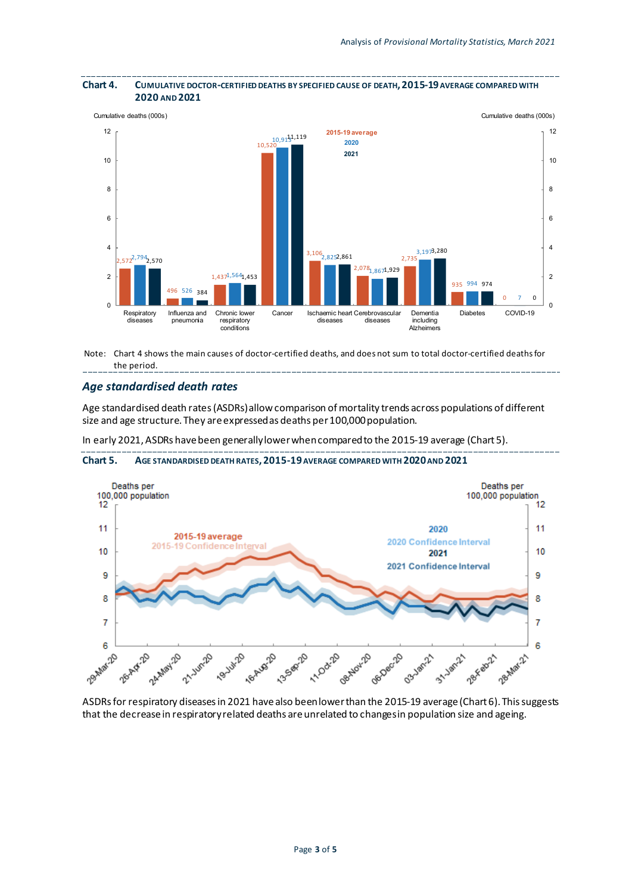

#### **Chart 4. CUMULATIVE DOCTOR-CERTIFIED DEATHS BY SPECIFIED CAUSE OF DEATH,2015-19AVERAGE COMPARED WITH 2020 AND 2021**

Note: Chart 4 shows the main causes of doctor-certified deaths, and does not sum to total doctor-certified deathsfor the period.

### *Age standardised death rates*

Age standardised death rates (ASDRs) allow comparison of mortality trends across populations of different size and age structure. They are expressed as deaths per 100,000 population.

In early 2021, ASDRs have been generally lower when compared to the 2015-19 average (Chart 5).



**Chart 5. AGE STANDARDISED DEATH RATES,2015-19AVERAGE COMPARED WITH 2020AND 2021**

ASDRs for respiratory diseases in 2021 have also been lowerthan the 2015-19 average (Chart 6). This suggests that the decrease in respiratory related deaths are unrelated to changes in population size and ageing.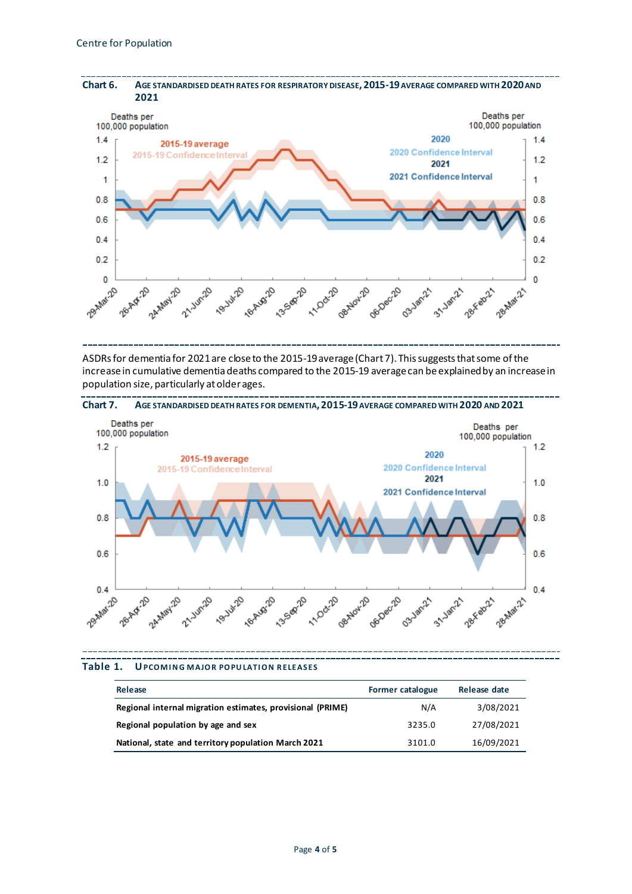

ASDRs for dementia for 2021 are close to the 2015-19 average (Chart 7). This suggests that some of the increase in cumulative dementia deaths compared to the 2015-19 average can be explained by an increase in population size, particularly at older ages.





| Release                                                    | <b>Former catalogue</b> | Release date |
|------------------------------------------------------------|-------------------------|--------------|
| Regional internal migration estimates, provisional (PRIME) | N/A                     | 3/08/2021    |
| Regional population by age and sex                         | 3235.0                  | 27/08/2021   |
| National, state and territory population March 2021        | 3101.0                  | 16/09/2021   |